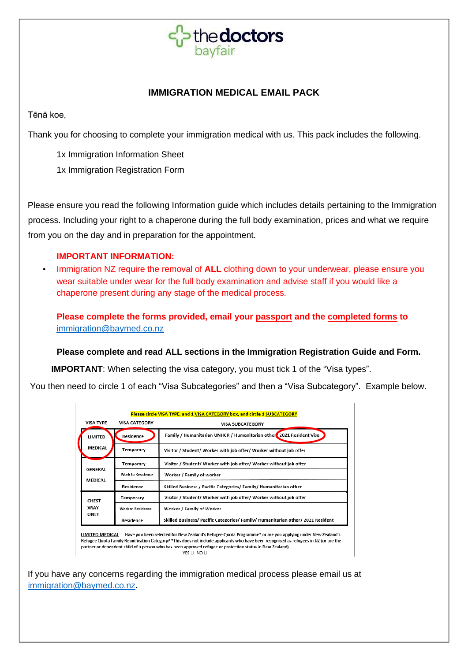

# **IMMIGRATION MEDICAL EMAIL PACK**

Tēnā koe,

Thank you for choosing to complete your immigration medical with us. This pack includes the following.

1x Immigration Information Sheet

1x Immigration Registration Form

Please ensure you read the following Information guide which includes details pertaining to the Immigration process. Including your right to a chaperone during the full body examination, prices and what we require from you on the day and in preparation for the appointment.

# **IMPORTANT INFORMATION:**

• Immigration NZ require the removal of **ALL** clothing down to your underwear, please ensure you wear suitable under wear for the full body examination and advise staff if you would like a chaperone present during any stage of the medical process.

**Please complete the forms provided, email your passport and the completed forms to**  [immigration@baymed.co.nz](mailto:immigration@baymed.co.nz)

# **Please complete and read ALL sections in the Immigration Registration Guide and Form.**

**IMPORTANT:** When selecting the visa category, you must tick 1 of the "Visa types".

You then need to circle 1 of each "Visa Subcategories" and then a "Visa Subcategory". Example below.

| Please circle VISA TYPE, and 1 VISA CATEGORY box, and circle 1 SUBCATEGORY                                                 |                          |                                                                                 |  |  |
|----------------------------------------------------------------------------------------------------------------------------|--------------------------|---------------------------------------------------------------------------------|--|--|
| <b>VISA TYPE</b>                                                                                                           | <b>VISA CATEGORY</b>     | <b>VISA SUBCATEGORY</b>                                                         |  |  |
| LIMITED                                                                                                                    | Residence                | Family / Humanitarian UNHCR / Humanitarian other 2021 Resident Visa             |  |  |
| <b>MEDICAL</b>                                                                                                             | Temporary                | Visitor / Student/ Worker with job offer/ Worker without job offer              |  |  |
| GENERAL<br>MEDICAL                                                                                                         | Temporary                | Visitor / Student/ Worker with job offer/ Worker without job offer              |  |  |
|                                                                                                                            | <b>Work to Residence</b> | Worker / Family of worker                                                       |  |  |
|                                                                                                                            | Residence                | Skilled Business / Pacific Categories/ Family/ Humanitarian other               |  |  |
| <b>CHEST</b><br><b>XRAY</b><br>ONLY                                                                                        | Temporary                | Visitor / Student/ Worker with job offer/ Worker without job offer              |  |  |
|                                                                                                                            | <b>Work to Residence</b> | Worker / Family of Worker                                                       |  |  |
|                                                                                                                            | Residence                | Skilled Business/ Pacific Categories/ Family/ Humanitarian other/ 2021 Resident |  |  |
| LIMITED MEDICAL: Have vou been selected for New Zealand's Refugee Quota Programme* or are vou applying under New Zealand's |                          |                                                                                 |  |  |

Refugee Quota Family Reunification Category? \*This does not include applicants who have been recognised as refugees in NZ (or are the partner or dependent child of a person who has been approved refugee or protection status in New Zealand).  $YES \Box NO \Box$ 

If you have any concerns regarding the immigration medical process please email us at immigration@baymed.co.nz**.**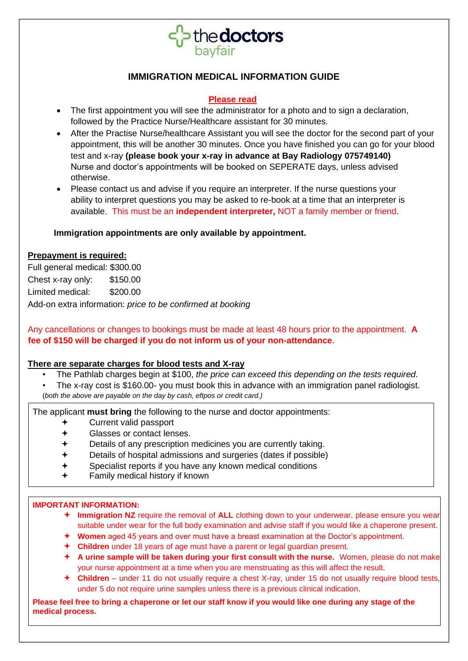

# **IMMIGRATION MEDICAL INFORMATION GUIDE**

# **Please read**

- The first appointment you will see the administrator for a photo and to sign a declaration, followed by the Practice Nurse/Healthcare assistant for 30 minutes.
- After the Practise Nurse/healthcare Assistant you will see the doctor for the second part of your appointment, this will be another 30 minutes. Once you have finished you can go for your blood test and x-ray **(please book your x-ray in advance at Bay Radiology 075749140)** Nurse and doctor's appointments will be booked on SEPERATE days, unless advised otherwise.
- Please contact us and advise if you require an interpreter. If the nurse questions your ability to interpret questions you may be asked to re-book at a time that an interpreter is available. This must be an **independent interpreter,** NOT a family member or friend.

# **Immigration appointments are only available by appointment.**

# **Prepayment is required:**

Full general medical: \$300.00 Chest x-ray only: \$150.00 Limited medical: \$200.00 Add-on extra information: *price to be confirmed at booking*

Any cancellations or changes to bookings must be made at least 48 hours prior to the appointment. **A fee of \$150 will be charged if you do not inform us of your non-attendance**.

# **There are separate charges for blood tests and X-ray**

- The Pathlab charges begin at \$100, *the price can exceed this depending on the tests required*.
- The x-ray cost is \$160.00- you must book this in advance with an immigration panel radiologist. (*both the above are payable on the day by cash, eftpos or credit card.)*

The applicant **must bring** the following to the nurse and doctor appointments:

- Current valid passport
- Glasses or contact lenses.
- Details of any prescription medicines you are currently taking.
- Details of hospital admissions and surgeries (dates if possible)
- Specialist reports if you have any known medical conditions
- Family medical history if known

# **IMPORTANT INFORMATION:**

- **Immigration NZ** require the removal of **ALL** clothing down to your underwear, please ensure you wear suitable under wear for the full body examination and advise staff if you would like a chaperone present.
- **Women** aged 45 years and over must have a breast examination at the Doctor's appointment.
- **Children** under 18 years of age must have a parent or legal guardian present.
- **A urine sample will be taken during your first consult with the nurse.** Women, please do not make your nurse appointment at a time when you are menstruating as this will affect the result.
- **Children**  under 11 do not usually require a chest X-ray, under 15 do not usually require blood tests, under 5 do not require urine samples unless there is a previous clinical indication.

**Please feel free to bring a chaperone or let our staff know if you would like one during any stage of the medical process.**